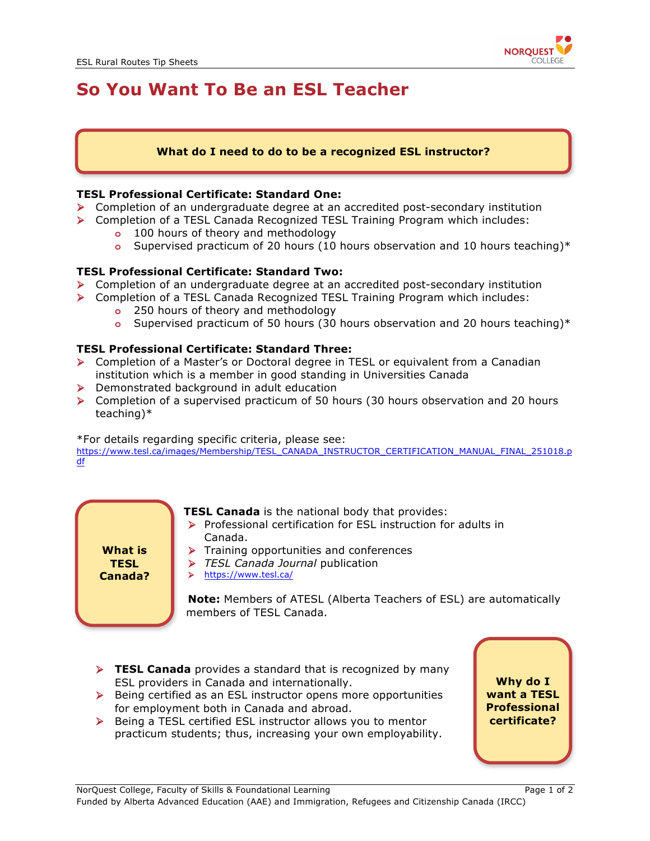

# **So You Want To Be an ESL Teacher**

## **What do I need to do to be a recognized ESL instructor?**

### **TESL Professional Certificate: Standard One:**

- $\triangleright$  Completion of an undergraduate degree at an accredited post-secondary institution
- Ø Completion of a TESL Canada Recognized TESL Training Program which includes:
	- **o** 100 hours of theory and methodology
	- **o** Supervised practicum of 20 hours (10 hours observation and 10 hours teaching)\*

### **TESL Professional Certificate: Standard Two:**

- $\triangleright$  Completion of an undergraduate degree at an accredited post-secondary institution
- Ø Completion of a TESL Canada Recognized TESL Training Program which includes: **o** 250 hours of theory and methodology
	-
	- **o** Supervised practicum of 50 hours (30 hours observation and 20 hours teaching)\*

### **TESL Professional Certificate: Standard Three:**

- Ø Completion of a Master's or Doctoral degree in TESL or equivalent from a Canadian institution which is a member in good standing in Universities Canada
- $\triangleright$  Demonstrated background in adult education
- $\triangleright$  Completion of a supervised practicum of 50 hours (30 hours observation and 20 hours teaching)\*

#### \*For details regarding specific criteria, please see:

https://www.tesl.ca/images/Membership/TESL\_CANADA\_INSTRUCTOR\_CERTIFICATION\_MANUAL\_FINAL\_251018.p df



**TESL Canada** is the national body that provides:

- Ø Professional certification for ESL instruction for adults in Canada.
- $\triangleright$  Training opportunities and conferences
- Ø *TESL Canada Journal* publication
- Ø https://www.tesl.ca/

**Note:** Members of ATESL (Alberta Teachers of ESL) are automatically members of TESL Canada.

- **FIFICANA EXAM** Provides a standard that is recognized by many ESL providers in Canada and internationally.
- $\triangleright$  Being certified as an ESL instructor opens more opportunities for employment both in Canada and abroad.
- $\triangleright$  Being a TESL certified ESL instructor allows you to mentor practicum students; thus, increasing your own employability.

**Why do I want a TESL Professional certificate?**